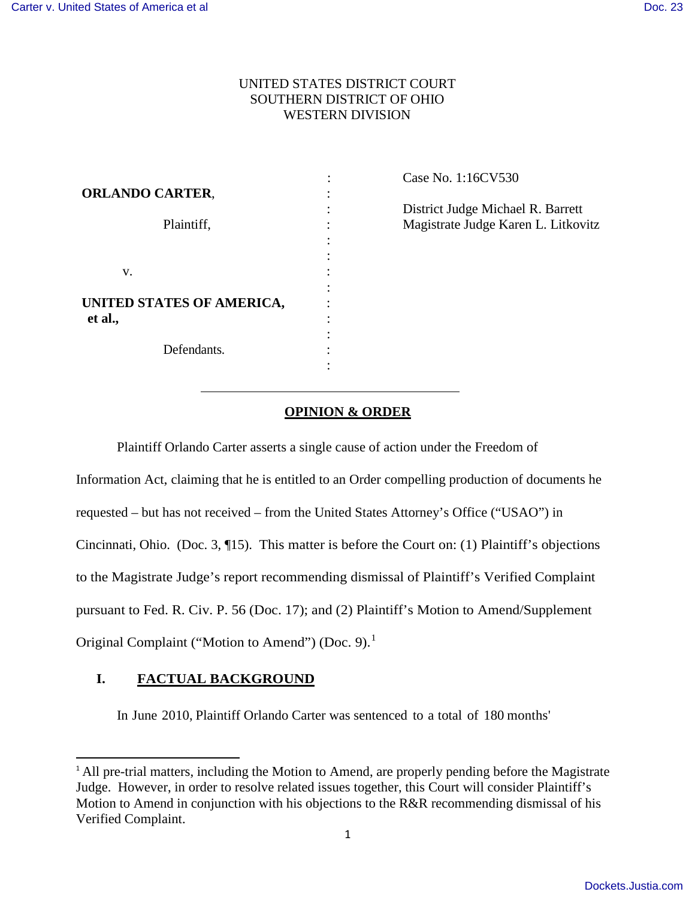# UNITED STATES DISTRICT COURT SOUTHERN DISTRICT OF OHIO WESTERN DIVISION

|                           | Case No. 1:16CV530                  |
|---------------------------|-------------------------------------|
| <b>ORLANDO CARTER,</b>    |                                     |
|                           | District Judge Michael R. Barrett   |
| Plaintiff,                | Magistrate Judge Karen L. Litkovitz |
|                           |                                     |
|                           |                                     |
| V.                        |                                     |
|                           |                                     |
| UNITED STATES OF AMERICA, |                                     |
| et al.,                   |                                     |
|                           |                                     |
| Defendants.               |                                     |
|                           |                                     |

# **OPINION & ORDER**

Plaintiff Orlando Carter asserts a single cause of action under the Freedom of

Information Act, claiming that he is entitled to an Order compelling production of documents he

requested – but has not received – from the United States Attorney's Office ("USAO") in

Cincinnati, Ohio. (Doc. 3, ¶15). This matter is before the Court on: (1) Plaintiff's objections

to the Magistrate Judge's report recommending dismissal of Plaintiff's Verified Complaint

pursuant to Fed. R. Civ. P. 56 (Doc. 17); and (2) Plaintiff's Motion to Amend/Supplement

Original Complaint ("Motion to Amend") (Doc. 9).<sup>[1](#page-0-0)</sup>

# **I. FACTUAL BACKGROUND**

 $\overline{a}$ 

In June 2010, Plaintiff Orlando Carter was sentenced to a total of 180 months'

<span id="page-0-0"></span><sup>&</sup>lt;sup>1</sup> All pre-trial matters, including the Motion to Amend, are properly pending before the Magistrate Judge. However, in order to resolve related issues together, this Court will consider Plaintiff's Motion to Amend in conjunction with his objections to the R&R recommending dismissal of his Verified Complaint.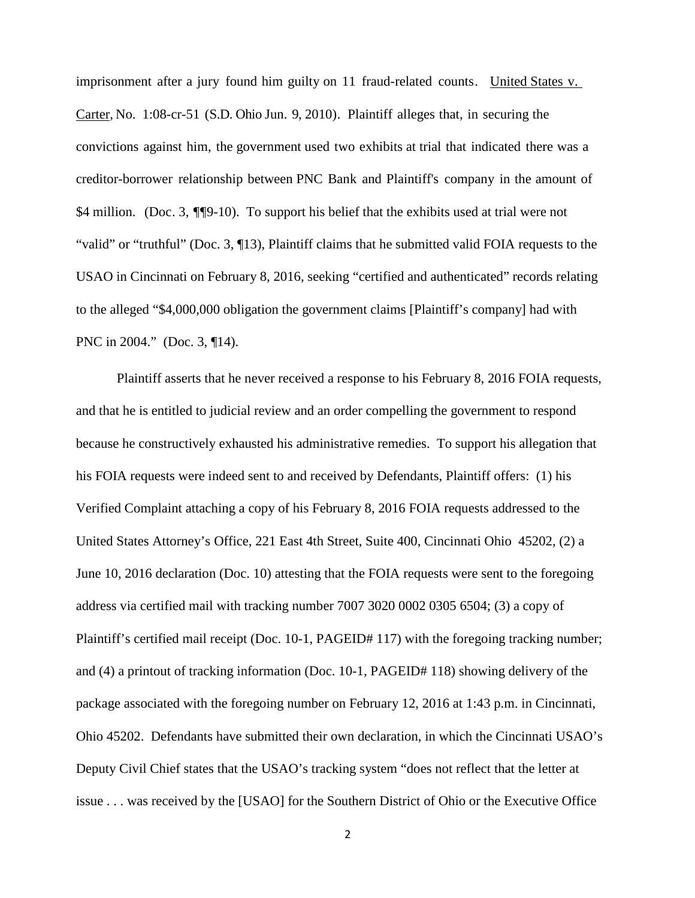imprisonment after a jury found him guilty on 11 fraud-related counts. United States v. Carter*,* No. 1:08-cr-51 (S.D. Ohio Jun. 9, 2010). Plaintiff alleges that, in securing the convictions against him, the government used two exhibits at trial that indicated there was a creditor-borrower relationship between PNC Bank and Plaintiff's company in the amount of \$4 million. (Doc. 3, ¶¶9-10). To support his belief that the exhibits used at trial were not "valid" or "truthful" (Doc. 3, ¶13), Plaintiff claims that he submitted valid FOIA requests to the USAO in Cincinnati on February 8, 2016, seeking "certified and authenticated" records relating to the alleged "\$4,000,000 obligation the government claims [Plaintiff's company] had with PNC in 2004." (Doc. 3, ¶14).

Plaintiff asserts that he never received a response to his February 8, 2016 FOIA requests, and that he is entitled to judicial review and an order compelling the government to respond because he constructively exhausted his administrative remedies. To support his allegation that his FOIA requests were indeed sent to and received by Defendants, Plaintiff offers: (1) his Verified Complaint attaching a copy of his February 8, 2016 FOIA requests addressed to the United States Attorney's Office, 221 East 4th Street, Suite 400, Cincinnati Ohio 45202, (2) a June 10, 2016 declaration (Doc. 10) attesting that the FOIA requests were sent to the foregoing address via certified mail with tracking number 7007 3020 0002 0305 6504; (3) a copy of Plaintiff's certified mail receipt (Doc. 10-1, PAGEID# 117) with the foregoing tracking number; and (4) a printout of tracking information (Doc. 10-1, PAGEID# 118) showing delivery of the package associated with the foregoing number on February 12, 2016 at 1:43 p.m. in Cincinnati, Ohio 45202. Defendants have submitted their own declaration, in which the Cincinnati USAO's Deputy Civil Chief states that the USAO's tracking system "does not reflect that the letter at issue . . . was received by the [USAO] for the Southern District of Ohio or the Executive Office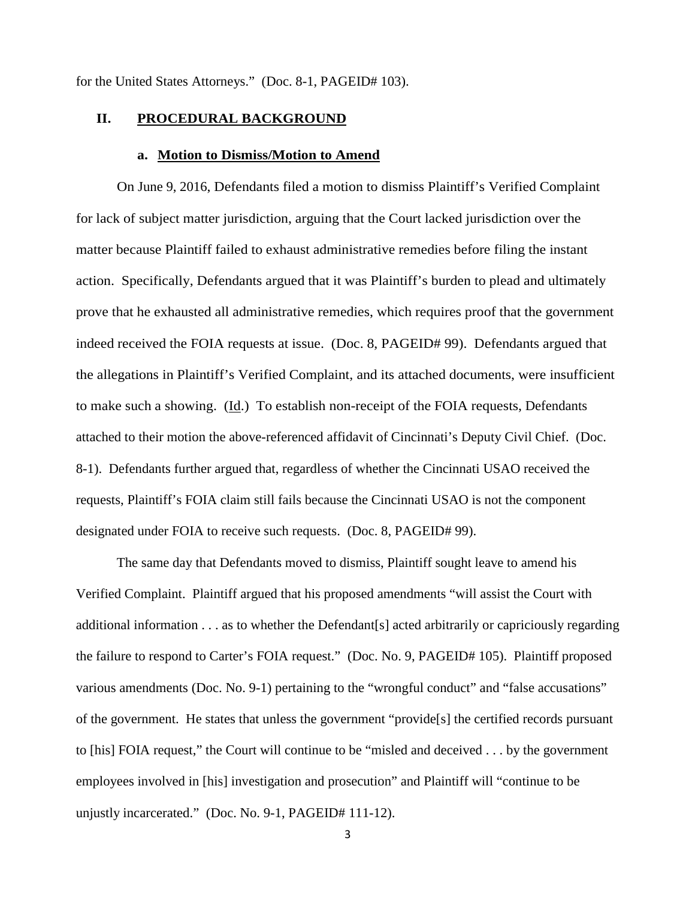for the United States Attorneys." (Doc. 8-1, PAGEID# 103).

### **II. PROCEDURAL BACKGROUND**

#### **a. Motion to Dismiss/Motion to Amend**

On June 9, 2016, Defendants filed a motion to dismiss Plaintiff's Verified Complaint for lack of subject matter jurisdiction, arguing that the Court lacked jurisdiction over the matter because Plaintiff failed to exhaust administrative remedies before filing the instant action. Specifically, Defendants argued that it was Plaintiff's burden to plead and ultimately prove that he exhausted all administrative remedies, which requires proof that the government indeed received the FOIA requests at issue. (Doc. 8, PAGEID# 99). Defendants argued that the allegations in Plaintiff's Verified Complaint, and its attached documents, were insufficient to make such a showing. (Id.) To establish non-receipt of the FOIA requests, Defendants attached to their motion the above-referenced affidavit of Cincinnati's Deputy Civil Chief. (Doc. 8-1). Defendants further argued that, regardless of whether the Cincinnati USAO received the requests, Plaintiff's FOIA claim still fails because the Cincinnati USAO is not the component designated under FOIA to receive such requests. (Doc. 8, PAGEID# 99).

The same day that Defendants moved to dismiss, Plaintiff sought leave to amend his Verified Complaint. Plaintiff argued that his proposed amendments "will assist the Court with additional information . . . as to whether the Defendant[s] acted arbitrarily or capriciously regarding the failure to respond to Carter's FOIA request." (Doc. No. 9, PAGEID# 105). Plaintiff proposed various amendments (Doc. No. 9-1) pertaining to the "wrongful conduct" and "false accusations" of the government. He states that unless the government "provide[s] the certified records pursuant to [his] FOIA request," the Court will continue to be "misled and deceived . . . by the government employees involved in [his] investigation and prosecution" and Plaintiff will "continue to be unjustly incarcerated." (Doc. No. 9-1, PAGEID# 111-12).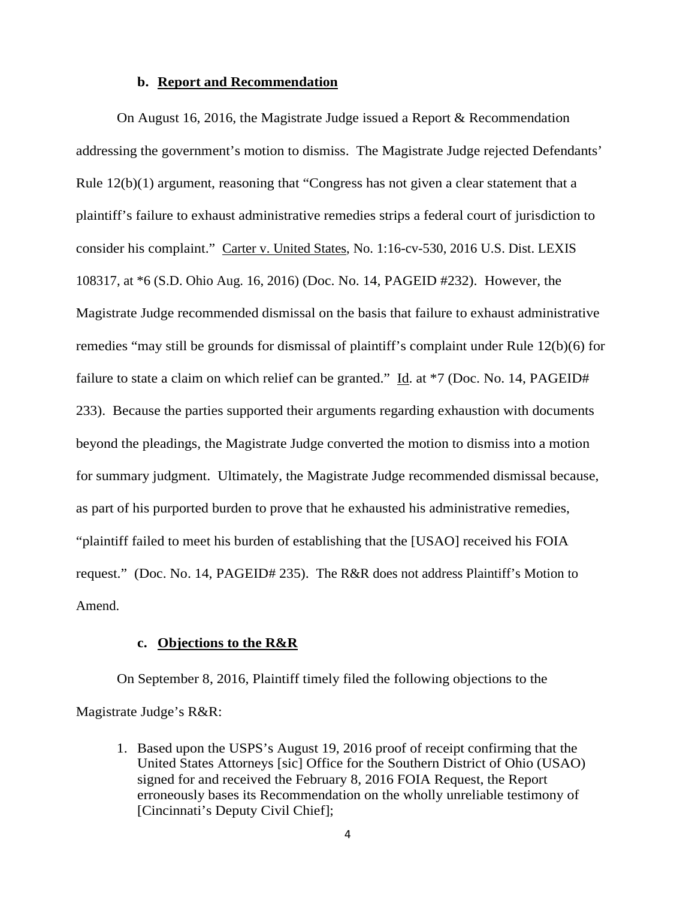### **b. Report and Recommendation**

On August 16, 2016, the Magistrate Judge issued a Report & Recommendation addressing the government's motion to dismiss. The Magistrate Judge rejected Defendants' Rule 12(b)(1) argument, reasoning that "Congress has not given a clear statement that a plaintiff's failure to exhaust administrative remedies strips a federal court of jurisdiction to consider his complaint." Carter v. United States, No. 1:16-cv-530, 2016 U.S. Dist. LEXIS 108317, at \*6 (S.D. Ohio Aug. 16, 2016) (Doc. No. 14, PAGEID #232). However, the Magistrate Judge recommended dismissal on the basis that failure to exhaust administrative remedies "may still be grounds for dismissal of plaintiff's complaint under Rule 12(b)(6) for failure to state a claim on which relief can be granted." Id. at  $*7$  (Doc. No. 14, PAGEID# 233). Because the parties supported their arguments regarding exhaustion with documents beyond the pleadings, the Magistrate Judge converted the motion to dismiss into a motion for summary judgment. Ultimately, the Magistrate Judge recommended dismissal because, as part of his purported burden to prove that he exhausted his administrative remedies, "plaintiff failed to meet his burden of establishing that the [USAO] received his FOIA request." (Doc. No. 14, PAGEID# 235). The R&R does not address Plaintiff's Motion to Amend.

### **c. Objections to the R&R**

On September 8, 2016, Plaintiff timely filed the following objections to the Magistrate Judge's R&R:

1. Based upon the USPS's August 19, 2016 proof of receipt confirming that the United States Attorneys [sic] Office for the Southern District of Ohio (USAO) signed for and received the February 8, 2016 FOIA Request, the Report erroneously bases its Recommendation on the wholly unreliable testimony of [Cincinnati's Deputy Civil Chief];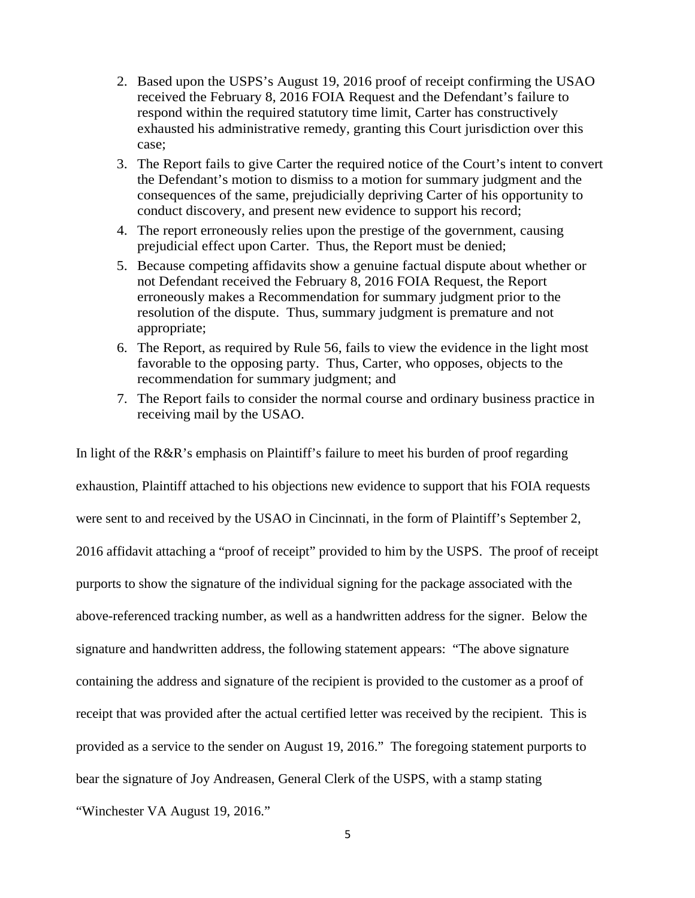- 2. Based upon the USPS's August 19, 2016 proof of receipt confirming the USAO received the February 8, 2016 FOIA Request and the Defendant's failure to respond within the required statutory time limit, Carter has constructively exhausted his administrative remedy, granting this Court jurisdiction over this case;
- 3. The Report fails to give Carter the required notice of the Court's intent to convert the Defendant's motion to dismiss to a motion for summary judgment and the consequences of the same, prejudicially depriving Carter of his opportunity to conduct discovery, and present new evidence to support his record;
- 4. The report erroneously relies upon the prestige of the government, causing prejudicial effect upon Carter. Thus, the Report must be denied;
- 5. Because competing affidavits show a genuine factual dispute about whether or not Defendant received the February 8, 2016 FOIA Request, the Report erroneously makes a Recommendation for summary judgment prior to the resolution of the dispute. Thus, summary judgment is premature and not appropriate;
- 6. The Report, as required by Rule 56, fails to view the evidence in the light most favorable to the opposing party. Thus, Carter, who opposes, objects to the recommendation for summary judgment; and
- 7. The Report fails to consider the normal course and ordinary business practice in receiving mail by the USAO.

In light of the R&R's emphasis on Plaintiff's failure to meet his burden of proof regarding exhaustion, Plaintiff attached to his objections new evidence to support that his FOIA requests were sent to and received by the USAO in Cincinnati, in the form of Plaintiff's September 2, 2016 affidavit attaching a "proof of receipt" provided to him by the USPS. The proof of receipt purports to show the signature of the individual signing for the package associated with the above-referenced tracking number, as well as a handwritten address for the signer. Below the signature and handwritten address, the following statement appears: "The above signature containing the address and signature of the recipient is provided to the customer as a proof of receipt that was provided after the actual certified letter was received by the recipient. This is provided as a service to the sender on August 19, 2016." The foregoing statement purports to bear the signature of Joy Andreasen, General Clerk of the USPS, with a stamp stating "Winchester VA August 19, 2016."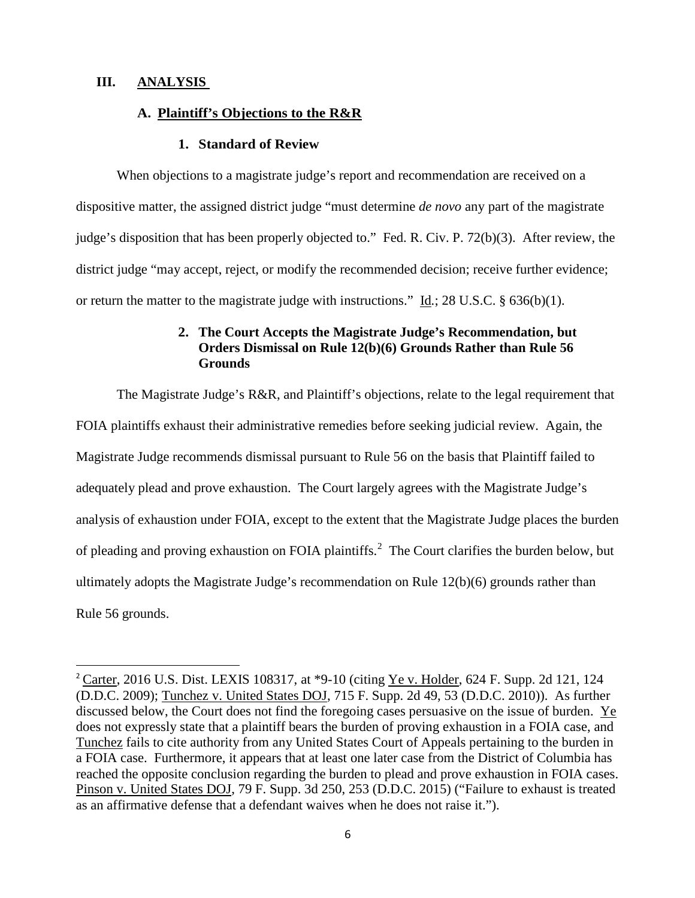## **III. ANALYSIS**

 $\overline{a}$ 

# **A. Plaintiff's Objections to the R&R**

### **1. Standard of Review**

When objections to a magistrate judge's report and recommendation are received on a dispositive matter, the assigned district judge "must determine *de novo* any part of the magistrate judge's disposition that has been properly objected to." Fed. R. Civ. P. 72(b)(3). After review, the district judge "may accept, reject, or modify the recommended decision; receive further evidence; or return the matter to the magistrate judge with instructions." Id*.*; 28 U.S.C. § 636(b)(1).

# **2. The Court Accepts the Magistrate Judge's Recommendation, but Orders Dismissal on Rule 12(b)(6) Grounds Rather than Rule 56 Grounds**

The Magistrate Judge's R&R, and Plaintiff's objections, relate to the legal requirement that FOIA plaintiffs exhaust their administrative remedies before seeking judicial review. Again, the Magistrate Judge recommends dismissal pursuant to Rule 56 on the basis that Plaintiff failed to adequately plead and prove exhaustion. The Court largely agrees with the Magistrate Judge's analysis of exhaustion under FOIA, except to the extent that the Magistrate Judge places the burden of pleading and proving exhaustion on FOIA plaintiffs.<sup>[2](#page-5-0)</sup> The Court clarifies the burden below, but ultimately adopts the Magistrate Judge's recommendation on Rule 12(b)(6) grounds rather than Rule 56 grounds.

<span id="page-5-0"></span><sup>&</sup>lt;sup>2</sup> Carter, 2016 U.S. Dist. LEXIS 108317, at  $*9-10$  (citing Ye v. Holder, 624 F. Supp. 2d 121, 124 (D.D.C. 2009); Tunchez v. United States DOJ, 715 F. Supp. 2d 49, 53 (D.D.C. 2010)). As further discussed below, the Court does not find the foregoing cases persuasive on the issue of burden. Ye does not expressly state that a plaintiff bears the burden of proving exhaustion in a FOIA case, and Tunchez fails to cite authority from any United States Court of Appeals pertaining to the burden in a FOIA case. Furthermore, it appears that at least one later case from the District of Columbia has reached the opposite conclusion regarding the burden to plead and prove exhaustion in FOIA cases. Pinson v. United States DOJ, 79 F. Supp. 3d 250, 253 (D.D.C. 2015) ("Failure to exhaust is treated as an affirmative defense that a defendant waives when he does not raise it.").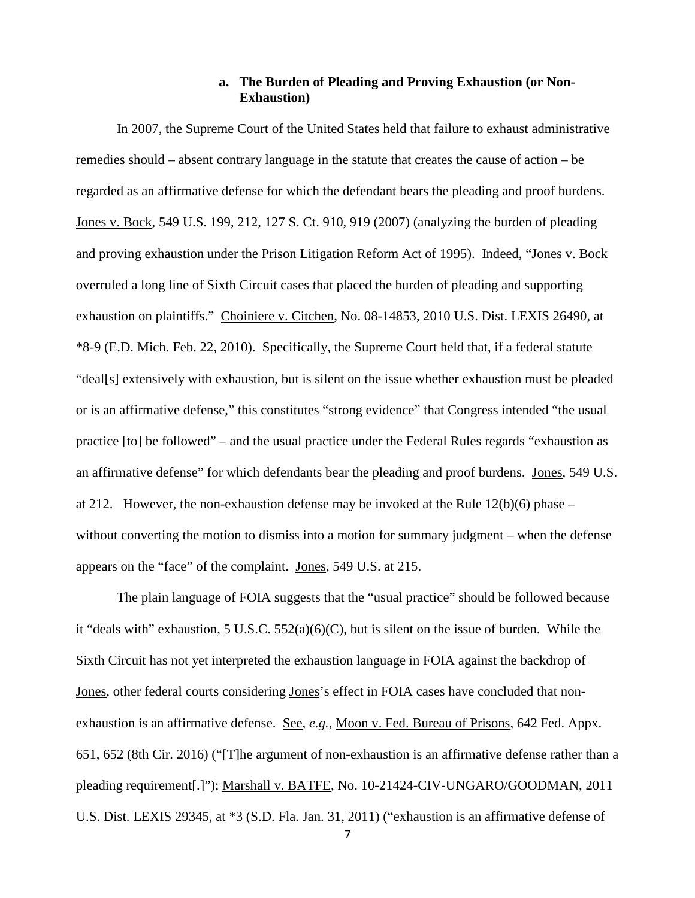## **a. The Burden of Pleading and Proving Exhaustion (or Non-Exhaustion)**

In 2007, the Supreme Court of the United States held that failure to exhaust administrative remedies should – absent contrary language in the statute that creates the cause of action – be regarded as an affirmative defense for which the defendant bears the pleading and proof burdens. Jones v. Bock, 549 U.S. 199, 212, 127 S. Ct. 910, 919 (2007) (analyzing the burden of pleading and proving exhaustion under the Prison Litigation Reform Act of 1995). Indeed, "Jones v. Bock overruled a long line of Sixth Circuit cases that placed the burden of pleading and supporting exhaustion on plaintiffs." Choiniere v. Citchen, No. 08-14853, 2010 U.S. Dist. LEXIS 26490, at \*8-9 (E.D. Mich. Feb. 22, 2010). Specifically, the Supreme Court held that, if a federal statute "deal[s] extensively with exhaustion, but is silent on the issue whether exhaustion must be pleaded or is an affirmative defense," this constitutes "strong evidence" that Congress intended "the usual practice [to] be followed" – and the usual practice under the Federal Rules regards "exhaustion as an affirmative defense" for which defendants bear the pleading and proof burdens. Jones, 549 U.S. at 212. However, the non-exhaustion defense may be invoked at the Rule 12(b)(6) phase – without converting the motion to dismiss into a motion for summary judgment – when the defense appears on the "face" of the complaint. Jones, 549 U.S. at 215.

The plain language of FOIA suggests that the "usual practice" should be followed because it "deals with" exhaustion, 5 U.S.C. 552(a)(6)(C), but is silent on the issue of burden. While the Sixth Circuit has not yet interpreted the exhaustion language in FOIA against the backdrop of Jones, other federal courts considering Jones's effect in FOIA cases have concluded that nonexhaustion is an affirmative defense. See, *e.g.*, Moon v. Fed. Bureau of Prisons, 642 Fed. Appx. 651, 652 (8th Cir. 2016) ("[T]he argument of non-exhaustion is an affirmative defense rather than a pleading requirement[.]"); Marshall v. BATFE, No. 10-21424-CIV-UNGARO/GOODMAN, 2011 U.S. Dist. LEXIS 29345, at \*3 (S.D. Fla. Jan. 31, 2011) ("exhaustion is an affirmative defense of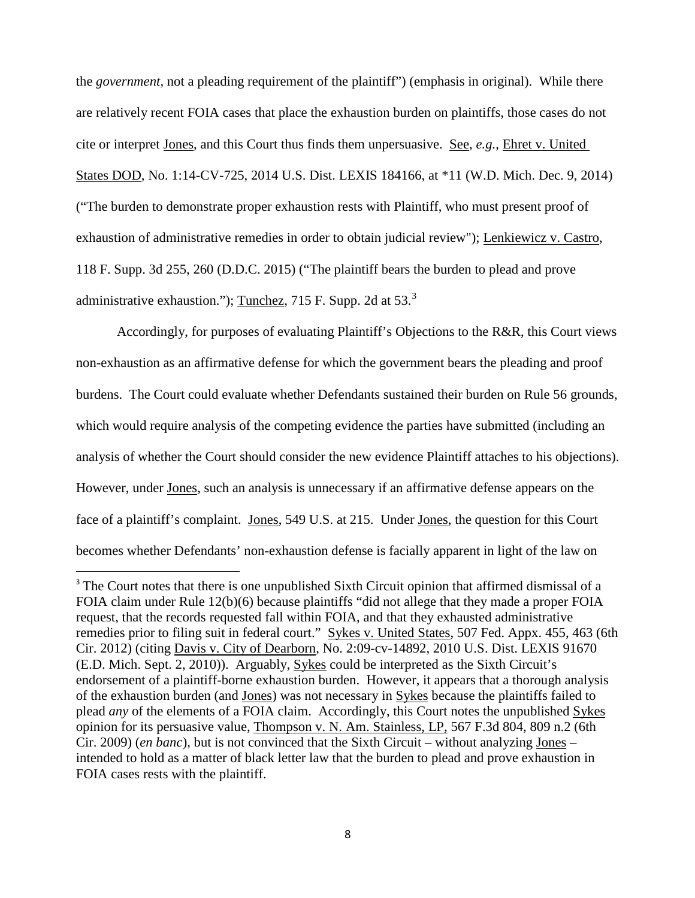the *government,* not a pleading requirement of the plaintiff") (emphasis in original). While there are relatively recent FOIA cases that place the exhaustion burden on plaintiffs, those cases do not cite or interpret Jones, and this Court thus finds them unpersuasive. See, *e.g.*, Ehret v. United States DOD, No. 1:14-CV-725, 2014 U.S. Dist. LEXIS 184166, at \*11 (W.D. Mich. Dec. 9, 2014) ("The burden to demonstrate proper exhaustion rests with Plaintiff, who must present proof of exhaustion of administrative remedies in order to obtain judicial review"); Lenkiewicz v. Castro, 118 F. Supp. 3d 255, 260 (D.D.C. 2015) ("The plaintiff bears the burden to plead and prove administrative exhaustion."); Tunchez, 715 F. Supp. 2d at  $53<sup>3</sup>$  $53<sup>3</sup>$  $53<sup>3</sup>$ 

Accordingly, for purposes of evaluating Plaintiff's Objections to the R&R, this Court views non-exhaustion as an affirmative defense for which the government bears the pleading and proof burdens. The Court could evaluate whether Defendants sustained their burden on Rule 56 grounds, which would require analysis of the competing evidence the parties have submitted (including an analysis of whether the Court should consider the new evidence Plaintiff attaches to his objections). However, under Jones, such an analysis is unnecessary if an affirmative defense appears on the face of a plaintiff's complaint. Jones, 549 U.S. at 215. Under Jones, the question for this Court becomes whether Defendants' non-exhaustion defense is facially apparent in light of the law on

 $\overline{a}$ 

<span id="page-7-0"></span><sup>&</sup>lt;sup>3</sup> The Court notes that there is one unpublished Sixth Circuit opinion that affirmed dismissal of a FOIA claim under Rule 12(b)(6) because plaintiffs "did not allege that they made a proper FOIA request, that the records requested fall within FOIA, and that they exhausted administrative remedies prior to filing suit in federal court." Sykes v. United States, 507 Fed. Appx. 455, 463 (6th Cir. 2012) (citing Davis v. City of Dearborn*,* No. 2:09-cv-14892, 2010 U.S. Dist. LEXIS 91670 (E.D. Mich. Sept. 2, 2010)). Arguably, Sykes could be interpreted as the Sixth Circuit's endorsement of a plaintiff-borne exhaustion burden. However, it appears that a thorough analysis of the exhaustion burden (and Jones) was not necessary in Sykes because the plaintiffs failed to plead *any* of the elements of a FOIA claim. Accordingly, this Court notes the unpublished Sykes opinion for its persuasive value, Thompson v. N. Am. Stainless, LP*,* 567 F.3d 804, 809 n.2 (6th Cir. 2009) (*en banc*), but is not convinced that the Sixth Circuit – without analyzing Jones – intended to hold as a matter of black letter law that the burden to plead and prove exhaustion in FOIA cases rests with the plaintiff.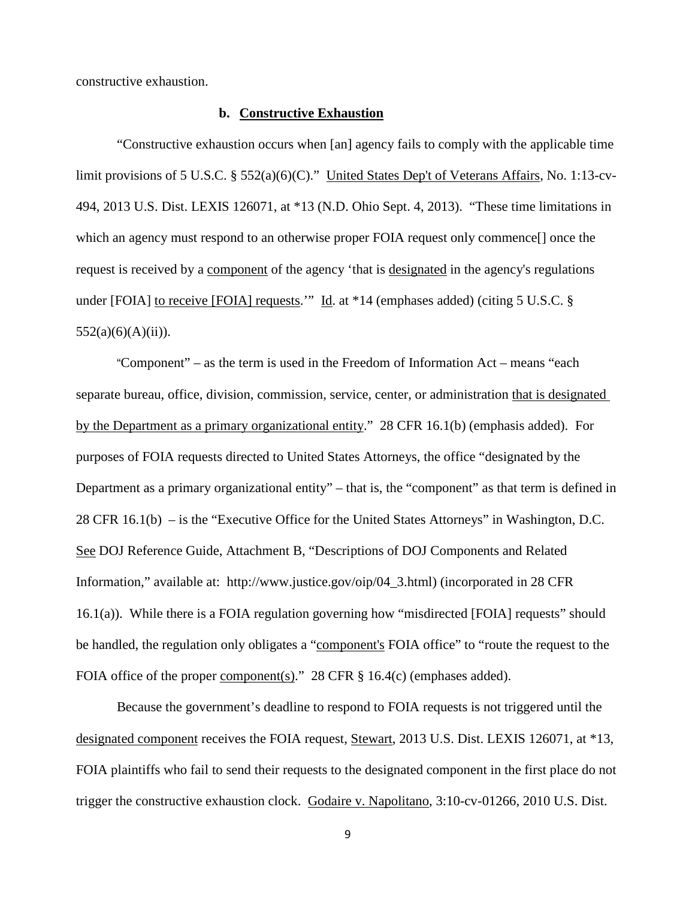constructive exhaustion.

#### **b. Constructive Exhaustion**

"Constructive exhaustion occurs when [an] agency fails to comply with the applicable time limit provisions of 5 U.S.C. § 552(a)(6)(C)." United States Dep't of Veterans Affairs, No. 1:13-cv-494, 2013 U.S. Dist. LEXIS 126071, at \*13 (N.D. Ohio Sept. 4, 2013). "These time limitations in which an agency must respond to an otherwise proper FOIA request only commence[] once the request is received by a component of the agency 'that is designated in the agency's regulations under [FOIA] to receive [FOIA] requests.'" Id. at \*14 (emphases added) (citing 5 U.S.C. §  $552(a)(6)(A)(ii)$ ).

"Component" – as the term is used in the Freedom of Information Act – means "each separate bureau, office, division, commission, service, center, or administration that is designated by the Department as a primary organizational entity." 28 CFR 16.1(b) (emphasis added). For purposes of FOIA requests directed to United States Attorneys, the office "designated by the Department as a primary organizational entity" – that is, the "component" as that term is defined in 28 CFR 16.1(b) – is the "Executive Office for the United States Attorneys" in Washington, D.C. See DOJ Reference Guide, Attachment B, "Descriptions of DOJ Components and Related Information," available at: http://www.justice.gov/oip/04\_3.html) (incorporated in 28 CFR 16.1(a)). While there is a FOIA regulation governing how "misdirected [FOIA] requests" should be handled, the regulation only obligates a "component's FOIA office" to "route the request to the FOIA office of the proper component(s)." 28 CFR § 16.4(c) (emphases added).

Because the government's deadline to respond to FOIA requests is not triggered until the designated component receives the FOIA request, Stewart, 2013 U.S. Dist. LEXIS 126071, at \*13, FOIA plaintiffs who fail to send their requests to the designated component in the first place do not trigger the constructive exhaustion clock. Godaire v. Napolitano, 3:10-cv-01266, 2010 U.S. Dist.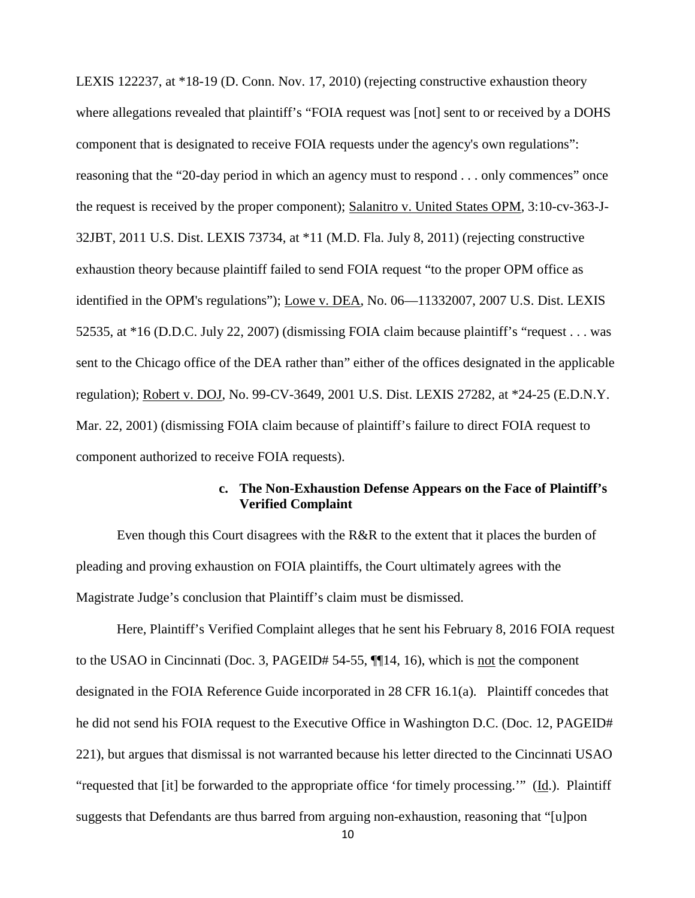LEXIS 122237, at \*18-19 (D. Conn. Nov. 17, 2010) (rejecting constructive exhaustion theory where allegations revealed that plaintiff's "FOIA request was [not] sent to or received by a DOHS component that is designated to receive FOIA requests under the agency's own regulations": reasoning that the "20-day period in which an agency must to respond . . . only commences" once the request is received by the proper component); Salanitro v. United States OPM, 3:10-cv-363-J-32JBT, 2011 U.S. Dist. LEXIS 73734, at \*11 (M.D. Fla. July 8, 2011) (rejecting constructive exhaustion theory because plaintiff failed to send FOIA request "to the proper OPM office as identified in the OPM's regulations"); Lowe v. DEA, No. 06—11332007, 2007 U.S. Dist. LEXIS 52535, at \*16 (D.D.C. July 22, 2007) (dismissing FOIA claim because plaintiff's "request . . . was sent to the Chicago office of the DEA rather than" either of the offices designated in the applicable regulation); Robert v. DOJ, No. 99-CV-3649, 2001 U.S. Dist. LEXIS 27282, at \*24-25 (E.D.N.Y. Mar. 22, 2001) (dismissing FOIA claim because of plaintiff's failure to direct FOIA request to component authorized to receive FOIA requests).

## **c. The Non-Exhaustion Defense Appears on the Face of Plaintiff's Verified Complaint**

Even though this Court disagrees with the R&R to the extent that it places the burden of pleading and proving exhaustion on FOIA plaintiffs, the Court ultimately agrees with the Magistrate Judge's conclusion that Plaintiff's claim must be dismissed.

Here, Plaintiff's Verified Complaint alleges that he sent his February 8, 2016 FOIA request to the USAO in Cincinnati (Doc. 3, PAGEID# 54-55, ¶[14, 16), which is <u>not</u> the component designated in the FOIA Reference Guide incorporated in 28 CFR 16.1(a). Plaintiff concedes that he did not send his FOIA request to the Executive Office in Washington D.C. (Doc. 12, PAGEID# 221), but argues that dismissal is not warranted because his letter directed to the Cincinnati USAO "requested that [it] be forwarded to the appropriate office 'for timely processing.'" (Id.). Plaintiff suggests that Defendants are thus barred from arguing non-exhaustion, reasoning that "[u]pon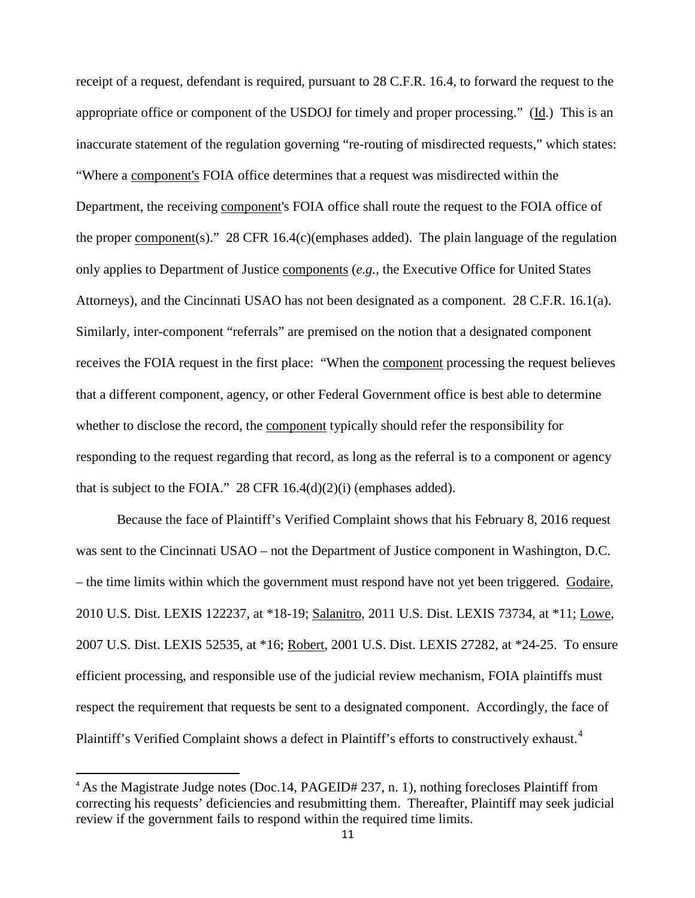receipt of a request, defendant is required, pursuant to 28 C.F.R. 16.4, to forward the request to the appropriate office or component of the USDOJ for timely and proper processing." (Id.) This is an inaccurate statement of the regulation governing "re-routing of misdirected requests," which states: "Where a component's FOIA office determines that a request was misdirected within the Department, the receiving component's FOIA office shall route the request to the FOIA office of the proper component(s)." 28 CFR 16.4(c)(emphases added). The plain language of the regulation only applies to Department of Justice components (*e.g.*, the Executive Office for United States Attorneys), and the Cincinnati USAO has not been designated as a component. 28 C.F.R. 16.1(a). Similarly, inter-component "referrals" are premised on the notion that a designated component receives the FOIA request in the first place: "When the component processing the request believes that a different component, agency, or other Federal Government office is best able to determine whether to disclose the record, the component typically should refer the responsibility for responding to the request regarding that record, as long as the referral is to a component or agency that is subject to the FOIA." 28 CFR  $16.4(d)(2)(i)$  (emphases added).

Because the face of Plaintiff's Verified Complaint shows that his February 8, 2016 request was sent to the Cincinnati USAO – not the Department of Justice component in Washington, D.C. – the time limits within which the government must respond have not yet been triggered. Godaire, 2010 U.S. Dist. LEXIS 122237, at \*18-19; Salanitro, 2011 U.S. Dist. LEXIS 73734, at \*11; Lowe, 2007 U.S. Dist. LEXIS 52535, at \*16; Robert, 2001 U.S. Dist. LEXIS 27282, at \*24-25. To ensure efficient processing, and responsible use of the judicial review mechanism, FOIA plaintiffs must respect the requirement that requests be sent to a designated component. Accordingly, the face of Plaintiff's Verified Complaint shows a defect in Plaintiff's efforts to constructively exhaust.<sup>[4](#page-10-0)</sup>

 $\overline{a}$ 

<span id="page-10-0"></span><sup>&</sup>lt;sup>4</sup> As the Magistrate Judge notes (Doc.14, PAGEID# 237, n. 1), nothing forecloses Plaintiff from correcting his requests' deficiencies and resubmitting them. Thereafter, Plaintiff may seek judicial review if the government fails to respond within the required time limits.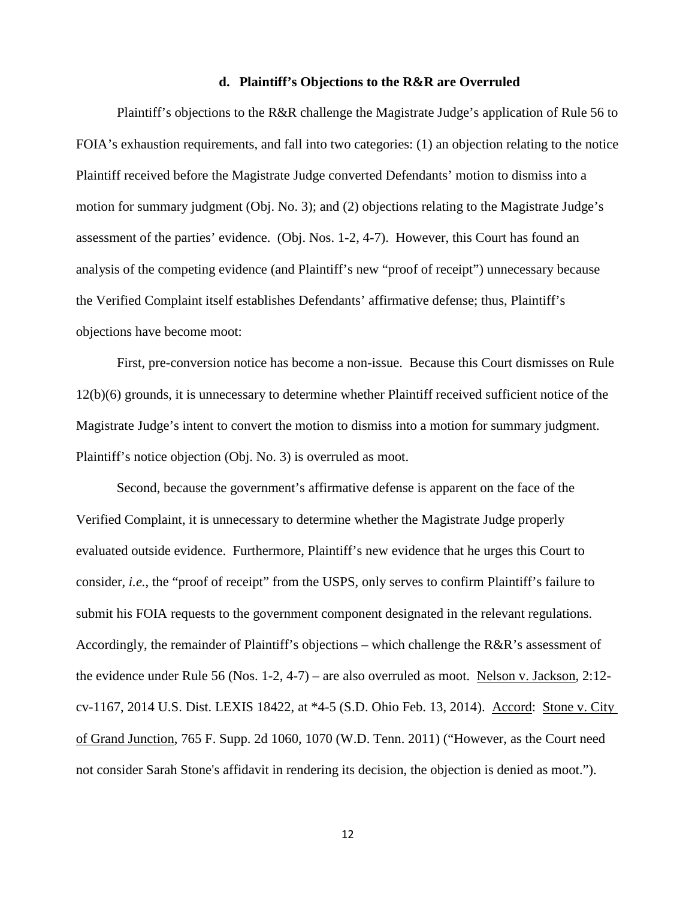#### **d. Plaintiff's Objections to the R&R are Overruled**

Plaintiff's objections to the R&R challenge the Magistrate Judge's application of Rule 56 to FOIA's exhaustion requirements, and fall into two categories: (1) an objection relating to the notice Plaintiff received before the Magistrate Judge converted Defendants' motion to dismiss into a motion for summary judgment (Obj. No. 3); and (2) objections relating to the Magistrate Judge's assessment of the parties' evidence. (Obj. Nos. 1-2, 4-7). However, this Court has found an analysis of the competing evidence (and Plaintiff's new "proof of receipt") unnecessary because the Verified Complaint itself establishes Defendants' affirmative defense; thus, Plaintiff's objections have become moot:

First, pre-conversion notice has become a non-issue. Because this Court dismisses on Rule 12(b)(6) grounds, it is unnecessary to determine whether Plaintiff received sufficient notice of the Magistrate Judge's intent to convert the motion to dismiss into a motion for summary judgment. Plaintiff's notice objection (Obj. No. 3) is overruled as moot.

Second, because the government's affirmative defense is apparent on the face of the Verified Complaint, it is unnecessary to determine whether the Magistrate Judge properly evaluated outside evidence. Furthermore, Plaintiff's new evidence that he urges this Court to consider, *i.e.*, the "proof of receipt" from the USPS, only serves to confirm Plaintiff's failure to submit his FOIA requests to the government component designated in the relevant regulations. Accordingly, the remainder of Plaintiff's objections – which challenge the R&R's assessment of the evidence under Rule 56 (Nos. 1-2, 4-7) – are also overruled as moot. Nelson v. Jackson, 2:12 cv-1167, 2014 U.S. Dist. LEXIS 18422, at \*4-5 (S.D. Ohio Feb. 13, 2014). Accord: Stone v. City of Grand Junction, 765 F. Supp. 2d 1060, 1070 (W.D. Tenn. 2011) ("However, as the Court need not consider Sarah Stone's affidavit in rendering its decision, the objection is denied as moot.").

12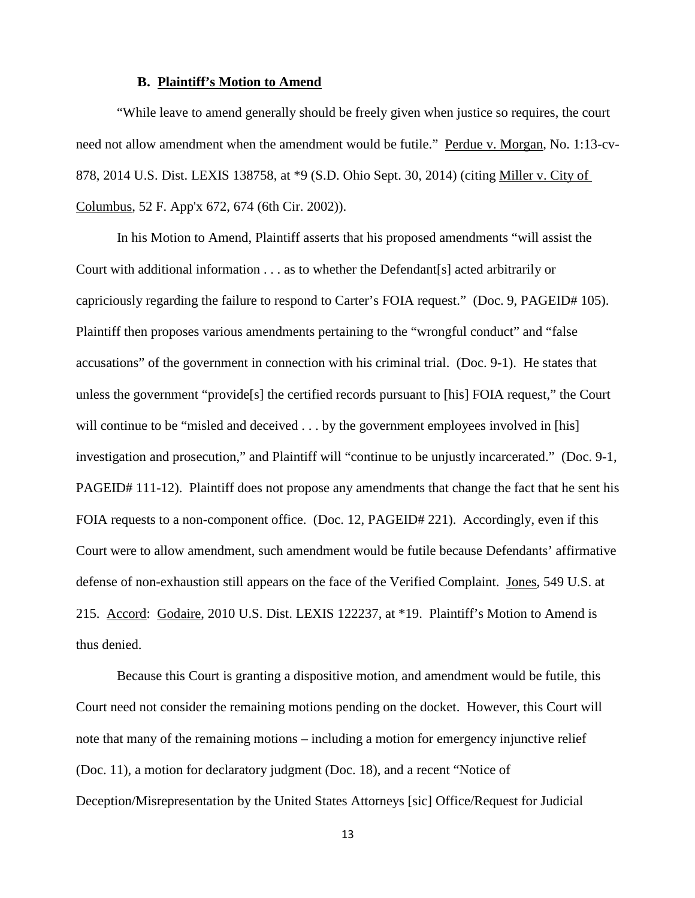#### **B. Plaintiff's Motion to Amend**

 "While leave to amend generally should be freely given when justice so requires, the court need not allow amendment when the amendment would be futile." Perdue v. Morgan, No. 1:13-cv-878, 2014 U.S. Dist. LEXIS 138758, at \*9 (S.D. Ohio Sept. 30, 2014) (citing Miller v. City of Columbus, 52 F. App'x 672, 674 (6th Cir. 2002)).

In his Motion to Amend, Plaintiff asserts that his proposed amendments "will assist the Court with additional information . . . as to whether the Defendant[s] acted arbitrarily or capriciously regarding the failure to respond to Carter's FOIA request." (Doc. 9, PAGEID# 105). Plaintiff then proposes various amendments pertaining to the "wrongful conduct" and "false accusations" of the government in connection with his criminal trial. (Doc. 9-1). He states that unless the government "provide[s] the certified records pursuant to [his] FOIA request," the Court will continue to be "misled and deceived . . . by the government employees involved in [his] investigation and prosecution," and Plaintiff will "continue to be unjustly incarcerated." (Doc. 9-1, PAGEID# 111-12). Plaintiff does not propose any amendments that change the fact that he sent his FOIA requests to a non-component office. (Doc. 12, PAGEID# 221). Accordingly, even if this Court were to allow amendment, such amendment would be futile because Defendants' affirmative defense of non-exhaustion still appears on the face of the Verified Complaint. Jones, 549 U.S. at 215. Accord: Godaire, 2010 U.S. Dist. LEXIS 122237, at \*19. Plaintiff's Motion to Amend is thus denied.

Because this Court is granting a dispositive motion, and amendment would be futile, this Court need not consider the remaining motions pending on the docket. However, this Court will note that many of the remaining motions – including a motion for emergency injunctive relief (Doc. 11), a motion for declaratory judgment (Doc. 18), and a recent "Notice of Deception/Misrepresentation by the United States Attorneys [sic] Office/Request for Judicial

13